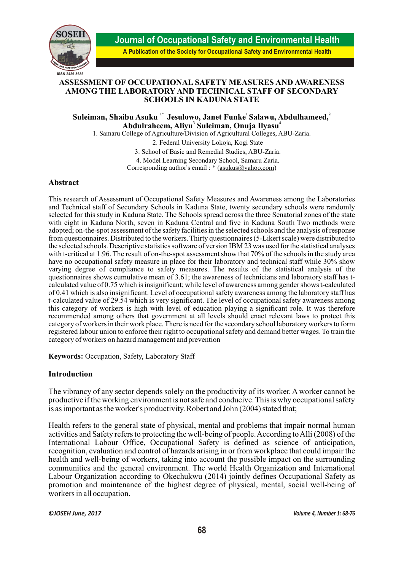

**Journal of Occupational Safety and Environmental Health**

**A Publication of the Society for Occupational Safety and Environmental Health**

### **ASSESSMENT OF OCCUPATIONAL SAFETY MEASURES AND AWARENESS AMONG THE LABORATORY AND TECHNICAL STAFF OF SECONDARY SCHOOLS IN KADUNA STATE**

 $\mathbf S$ uleiman, Shaibu Asuku <sup>1\*</sup> Jesulowo, Janet Funke<sup>1</sup> Salawu, Abdulhameed, $^2$ **3 4 Abdulraheem, Aliyu Suleiman, Onuja Ilyasu**

1. Samaru College of Agriculture/Division of Agricultural Colleges, ABU-Zaria.

2. Federal University Lokoja, Kogi State

3. School of Basic and Remedial Studies, ABU-Zaria.

4. Model Learning Secondary School, Samaru Zaria.

Corresponding author's email : \* (asukus@yahoo.com)

#### **Abstract**

This research of Assessment of Occupational Safety Measures and Awareness among the Laboratories and Technical staff of Secondary Schools in Kaduna State, twenty secondary schools were randomly selected for this study in Kaduna State. The Schools spread across the three Senatorial zones of the state with eight in Kaduna North, seven in Kaduna Central and five in Kaduna South Two methods were adopted; on-the-spot assessment of the safety facilities in the selected schools and the analysis of response from questionnaires. Distributed to the workers. Thirty questionnaires (5-Likert scale) were distributed to the selected schools. Descriptive statistics software of version IBM 23 was used for the statistical analyses with t-critical at 1.96. The result of on-the-spot assessment show that 70% of the schools in the study area have no occupational safety measure in place for their laboratory and technical staff while 30% show varying degree of compliance to safety measures. The results of the statistical analysis of the questionnaires shows cumulative mean of 3.61; the awareness of technicians and laboratory staff has tcalculated value of 0.75 which is insignificant; while level of awareness among gender shows t-calculated of 0.41 which is also insignificant. Level of occupational safety awareness among the laboratory staff has t-calculated value of 29.54 which is very significant. The level of occupational safety awareness among this category of workers is high with level of education playing a significant role. It was therefore recommended among others that government at all levels should enact relevant laws to protect this category of workers in their work place. There is need for the secondary school laboratory workers to form registered labour union to enforce their right to occupational safety and demand better wages. To train the category of workers on hazard management and prevention

**Keywords:** Occupation, Safety, Laboratory Staff

### **Introduction**

The vibrancy of any sector depends solely on the productivity of its worker. A worker cannot be productive if the working environment is not safe and conducive. This is why occupational safety is as important as the worker's productivity. Robert and John (2004) stated that;

Health refers to the general state of physical, mental and problems that impair normal human activities and Safety refers to protecting the well-being of people. According to Alli (2008) of the International Labour Office, Occupational Safety is defined as science of anticipation, recognition, evaluation and control of hazards arising in or from workplace that could impair the health and well-being of workers, taking into account the possible impact on the surrounding communities and the general environment. The world Health Organization and International Labour Organization according to Okechukwu (2014) jointly defines Occupational Safety as promotion and maintenance of the highest degree of physical, mental, social well-being of workers in all occupation.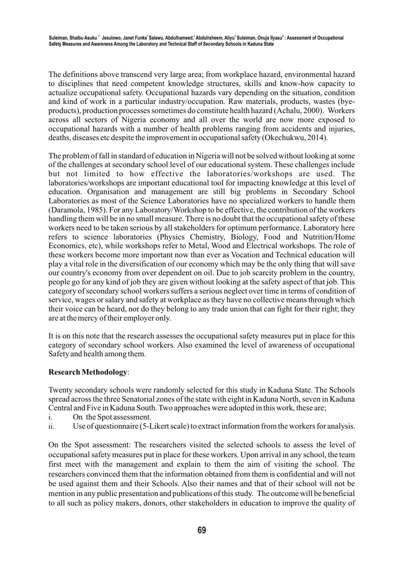The definitions above transcend very large area; from workplace hazard, environmental hazard to disciplines that need competent knowledge structures, skills and know-how capacity to actualize occupational safety. Occupational hazards vary depending on the situation, condition and kind of work in a particular industry/occupation. Raw materials, products, wastes (byeproducts), production processes sometimes do constitute health hazard (Achalu, 2000). Workers across all sectors of Nigeria economy and all over the world are now more exposed to occupational hazards with a number of health problems ranging from accidents and injuries, deaths, diseases etc despite the improvement in occupational safety (Okechukwu, 2014).

The problem of fall in standard of education in Nigeria will not be solved without looking at some of the challenges at secondary school level of our educational system. These challenges include but not limited to how effective the laboratories/workshops are used. The laboratories/workshops are important educational tool for impacting knowledge at this level of education. Organisation and management are still big problems in Secondary School Laboratories as most of the Science Laboratories have no specialized workers to handle them (Daramola, 1985). For any Laboratory/Workshop to be effective, the contribution of the workers handling them will be in no small measure. There is no doubt that the occupational safety of these workers need to be taken serious by all stakeholders for optimum performance. Laboratory here refers to science laboratories (Physics Chemistry, Biology, Food and Nutrition/Home Economics, etc), while workshops refer to Metal, Wood and Electrical workshops. The role of these workers become more important now than ever as Vocation and Technical education will play a vital role in the diversification of our economy which may be the only thing that will save our country's economy from over dependent on oil. Due to job scarcity problem in the country, people go for any kind of job they are given without looking at the safety aspect of that job. This category of secondary school workers suffers a serious neglect over time in terms of condition of service, wages or salary and safety at workplace as they have no collective means through which their voice can be heard, nor do they belong to any trade union that can fight for their right; they are at the mercy of their employer only.

It is on this note that the research assesses the occupational safety measures put in place for this category of secondary school workers. Also examined the level of awareness of occupational Safety and health among them.

# **Research Methodology**:

Twenty secondary schools were randomly selected for this study in Kaduna State. The Schools spread across the three Senatorial zones of the state with eight in Kaduna North, seven in Kaduna Central and Five in Kaduna South. Two approaches were adopted in this work, these are;

- i. On the Spot assessment.
- ii. Use of questionnaire (5-Likert scale) to extract information from the workers for analysis.

On the Spot assessment: The researchers visited the selected schools to assess the level of occupational safety measures put in place for these workers. Upon arrival in any school, the team first meet with the management and explain to them the aim of visiting the school. The researchers convinced them that the information obtained from them is confidential and will not be used against them and their Schools. Also their names and that of their school will not be mention in any public presentation and publications of this study. The outcome will be beneficial to all such as policy makers, donors, other stakeholders in education to improve the quality of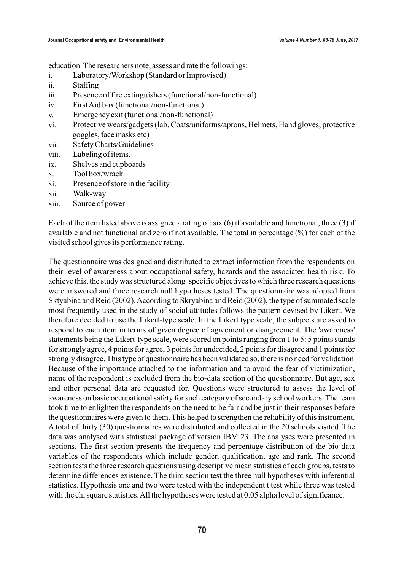education. The researchers note, assess and rate the followings:

- i. Laboratory/Workshop (Standard or Improvised)
- ii. Staffing
- iii. Presence of fire extinguishers (functional/non-functional).
- iv. First Aid box (functional/non-functional)
- v. Emergency exit (functional/non-functional)
- vi. Protective wears/gadgets (lab. Coats/uniforms/aprons, Helmets, Hand gloves, protective goggles, face masks etc)
- vii. Safety Charts/Guidelines
- viii. Labeling of items.
- ix. Shelves and cupboards
- x. Tool box/wrack
- xi. Presence of store in the facility
- xii. Walk-way
- xiii. Source of power

Each of the item listed above is assigned a rating of; six (6) if available and functional, three (3) if available and not functional and zero if not available. The total in percentage (%) for each of the visited school gives its performance rating.

The questionnaire was designed and distributed to extract information from the respondents on their level of awareness about occupational safety, hazards and the associated health risk. To achieve this, the study was structured along specific objectives to which three research questions were answered and three research null hypotheses tested. The questionnaire was adopted from Sktyabina and Reid (2002). According to Skryabina and Reid (2002), the type of summated scale most frequently used in the study of social attitudes follows the pattern devised by Likert. We therefore decided to use the Likert-type scale. In the Likert type scale, the subjects are asked to respond to each item in terms of given degree of agreement or disagreement. The 'awareness' statements being the Likert-type scale, were scored on points ranging from 1 to 5: 5 points stands for strongly agree, 4 points for agree, 3 points for undecided, 2 points for disagree and 1 points for strongly disagree. This type of questionnaire has been validated so, there is no need for validation Because of the importance attached to the information and to avoid the fear of victimization, name of the respondent is excluded from the bio-data section of the questionnaire. But age, sex and other personal data are requested for. Questions were structured to assess the level of awareness on basic occupational safety for such category of secondary school workers. The team took time to enlighten the respondents on the need to be fair and be just in their responses before the questionnaires were given to them. This helped to strengthen the reliability of this instrument. A total of thirty (30) questionnaires were distributed and collected in the 20 schools visited. The data was analysed with statistical package of version IBM 23. The analyses were presented in sections. The first section presents the frequency and percentage distribution of the bio data variables of the respondents which include gender, qualification, age and rank. The second section tests the three research questions using descriptive mean statistics of each groups, tests to determine differences existence. The third section test the three null hypotheses with inferential statistics. Hypothesis one and two were tested with the independent t test while three was tested with the chi square statistics. All the hypotheses were tested at 0.05 alpha level of significance.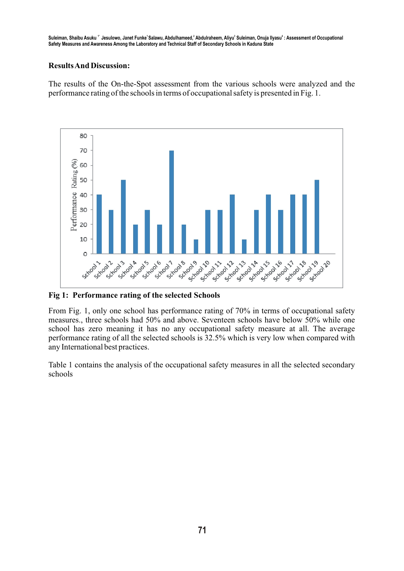Suleiman, Shaibu Asuku <sup>"</sup> Jesulowo, Janet Funke<sup>t</sup>Salawu, Abdulhameed,<sup>2</sup> Abdulraheem, Aliyu<sup>s</sup> Suleiman, Onuja Ilyasu<sup>4</sup> : Assessment of Occupational **Safety Measures and Awareness Among the Laboratory and Technical Staff of Secondary Schools in Kaduna State**

# **Results And Discussion:**

The results of the On-the-Spot assessment from the various schools were analyzed and the performance rating of the schools in terms of occupational safety is presented in Fig. 1.



**Fig 1: Performance rating of the selected Schools**

From Fig. 1, only one school has performance rating of 70% in terms of occupational safety measures., three schools had 50% and above. Seventeen schools have below 50% while one school has zero meaning it has no any occupational safety measure at all. The average performance rating of all the selected schools is 32.5% which is very low when compared with any International best practices.

Table 1 contains the analysis of the occupational safety measures in all the selected secondary schools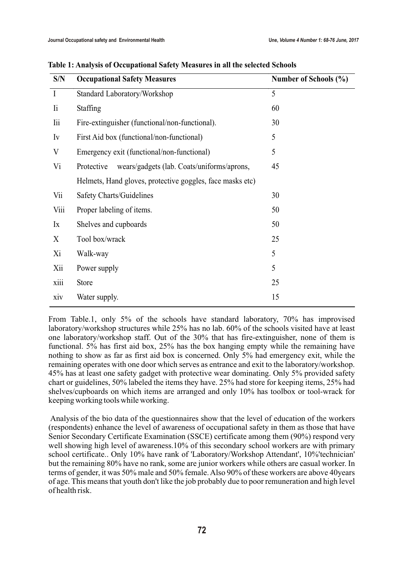| S/N          | <b>Occupational Safety Measures</b>                       | Number of Schools (%) |
|--------------|-----------------------------------------------------------|-----------------------|
| $\mathbf{I}$ | Standard Laboratory/Workshop                              | 5                     |
| li           | <b>Staffing</b>                                           | 60                    |
| lii          | Fire-extinguisher (functional/non-functional).            | 30                    |
| Iv           | First Aid box (functional/non-functional)                 | 5                     |
| V            | Emergency exit (functional/non-functional)                | 5                     |
| Vi           | wears/gadgets (lab. Coats/uniforms/aprons,<br>Protective  | 45                    |
|              | Helmets, Hand gloves, protective goggles, face masks etc) |                       |
| Vii          | <b>Safety Charts/Guidelines</b>                           | 30                    |
| Viii         | Proper labeling of items.                                 | 50                    |
| Ix           | Shelves and cupboards                                     | 50                    |
| X            | Tool box/wrack                                            | 25                    |
| Xi           | Walk-way                                                  | 5                     |
| Xii          | Power supply                                              | 5                     |
| xiii         | <b>Store</b>                                              | 25                    |
| xiv          | Water supply.                                             | 15                    |

|  | Table 1: Analysis of Occupational Safety Measures in all the selected Schools |  |  |  |
|--|-------------------------------------------------------------------------------|--|--|--|
|  |                                                                               |  |  |  |

From Table.1, only 5% of the schools have standard laboratory, 70% has improvised laboratory/workshop structures while 25% has no lab. 60% of the schools visited have at least one laboratory/workshop staff. Out of the 30% that has fire-extinguisher, none of them is functional. 5% has first aid box, 25% has the box hanging empty while the remaining have nothing to show as far as first aid box is concerned. Only 5% had emergency exit, while the remaining operates with one door which serves as entrance and exit to the laboratory/workshop. 45% has at least one safety gadget with protective wear dominating. Only 5% provided safety chart or guidelines, 50% labeled the items they have. 25% had store for keeping items, 25% had shelves/cupboards on which items are arranged and only 10% has toolbox or tool-wrack for keeping working tools while working.

Analysis of the bio data of the questionnaires show that the level of education of the workers (respondents) enhance the level of awareness of occupational safety in them as those that have Senior Secondary Certificate Examination (SSCE) certificate among them (90%) respond very well showing high level of awareness.10% of this secondary school workers are with primary school certificate.. Only 10% have rank of 'Laboratory/Workshop Attendant', 10%'technician' but the remaining 80% have no rank, some are junior workers while others are casual worker. In terms of gender, it was 50% male and 50% female. Also 90% of these workers are above 40years of age. This means that youth don't like the job probably due to poor remuneration and high level of health risk.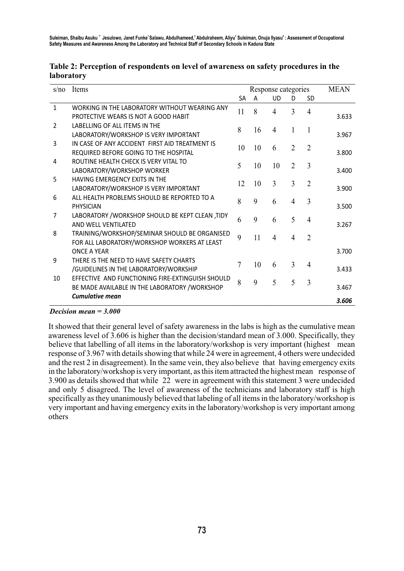| s/no           | Items                                                                                              |           | Response categories | <b>MEAN</b>    |                |                |       |
|----------------|----------------------------------------------------------------------------------------------------|-----------|---------------------|----------------|----------------|----------------|-------|
|                |                                                                                                    | <b>SA</b> | A                   | <b>UD</b>      | D              | <b>SD</b>      |       |
| $\mathbf{1}$   | WORKING IN THE LABORATORY WITHOUT WEARING ANY<br>PROTECTIVE WEARS IS NOT A GOOD HABIT              | 11        | 8                   | $\overline{4}$ | 3              | 4              | 3.633 |
| $\mathfrak{p}$ | LABELLING OF ALL ITEMS IN THE<br>LABORATORY/WORKSHOP IS VERY IMPORTANT                             | 8         | 16                  | 4              | 1              | 1              | 3.967 |
| 3              | IN CASE OF ANY ACCIDENT FIRST AID TREATMENT IS<br>REQUIRED BEFORE GOING TO THE HOSPITAL            | 10        | 10                  | 6              | $\overline{2}$ | $\overline{2}$ | 3.800 |
| 4              | ROUTINE HEALTH CHECK IS VERY VITAL TO<br>LABORATORY/WORKSHOP WORKER                                | 5         | 10                  | 10             | $\overline{2}$ | 3              | 3.400 |
| 5              | HAVING EMERGENCY EXITS IN THE<br>LABORATORY/WORKSHOP IS VERY IMPORTANT                             | 12        | 10                  | $\overline{3}$ | 3              | $\overline{2}$ | 3.900 |
| 6              | ALL HEALTH PROBLEMS SHOULD BE REPORTED TO A<br>PHYSICIAN                                           | 8         | 9                   | 6              | $\overline{4}$ | 3              | 3.500 |
| 7              | LABORATORY / WORKSHOP SHOULD BE KEPT CLEAN ,TIDY<br>AND WELL VENTILATED                            | 6         | 9                   | 6              | 5              | 4              | 3.267 |
| 8              | TRAINING/WORKSHOP/SEMINAR SHOULD BE ORGANISED<br>FOR ALL LABORATORY/WORKSHOP WORKERS AT LEAST      | 9         | 11                  | 4              | $\overline{4}$ | $\overline{2}$ |       |
|                | <b>ONCE A YEAR</b>                                                                                 |           |                     |                |                |                | 3.700 |
| 9              | THERE IS THE NEED TO HAVE SAFETY CHARTS<br>/GUIDELINES IN THE LABORATORY/WORKSHIP                  | 7         | 10                  | 6              | 3              | 4              | 3.433 |
| 10             | EFFECTIVE AND FUNCTIONING FIRE-EXTINGUISH SHOULD<br>BE MADE AVAILABLE IN THE LABORATORY / WORKSHOP | 8         | 9                   | 5              | 5              | 3              | 3.467 |
|                | <b>Cumulative mean</b>                                                                             |           |                     |                |                |                | 3.606 |

## **Table 2: Perception of respondents on level of awareness on safety procedures in the laboratory**

### *Decision mean = 3.000*

It showed that their general level of safety awareness in the labs is high as the cumulative mean awareness level of 3.606 is higher than the decision/standard mean of 3.000. Specifically, they believe that labelling of all items in the laboratory/workshop is very important (highest mean response of 3.967 with details showing that while 24 were in agreement, 4 others were undecided and the rest 2 in disagreement). In the same vein, they also believe that having emergency exits in the laboratory/workshop is very important, as this item attracted the highest mean response of 3.900 as details showed that while 22 were in agreement with this statement 3 were undecided and only 5 disagreed. The level of awareness of the technicians and laboratory staff is high specifically as they unanimously believed that labeling of all items in the laboratory/workshop is very important and having emergency exits in the laboratory/workshop is very important among others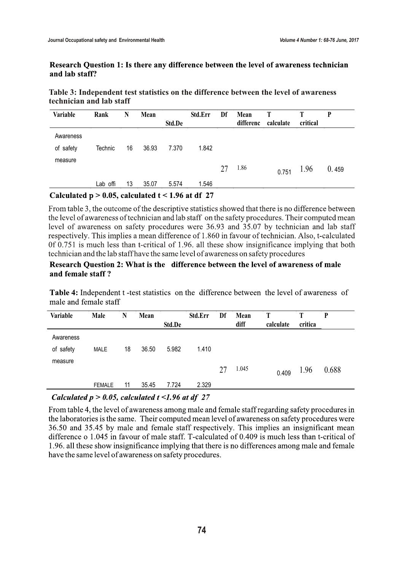## Research Question 1: Is there any difference between the level of awareness technician and lab staff?

| Table 3: Independent test statistics on the difference between the level of awareness |
|---------------------------------------------------------------------------------------|
| technician and lab staff                                                              |

| Variable  | Rank     | N  | Mean  | Std.De | Std.Err | Df | Mean<br>differenc | T<br>calculate | critical | P     |
|-----------|----------|----|-------|--------|---------|----|-------------------|----------------|----------|-------|
| Awareness |          |    |       |        |         |    |                   |                |          |       |
| of safety | Technic  | 16 | 36.93 | 7.370  | 1.842   |    |                   |                |          |       |
| measure   |          |    |       |        |         | 27 | 1.86              | 0.751          | 1.96     | 0.459 |
|           | Lab offi | 13 | 35.07 | 5.574  | 1.546   |    |                   |                |          |       |

Calculated  $p > 0.05$ , calculated  $t < 1.96$  at df 27

From table 3, the outcome of the descriptive statistics showed that there is no difference between the level of awareness of technician and lab staff on the safety procedures. Their computed mean level of awareness on safety procedures were 36.93 and 35.07 by technician and lab staff respectively. This implies a mean difference of 1.860 in fayour of technician. Also, t-calculated 0f 0.751 is much less than t-critical of 1.96. all these show insignificance implying that both technician and the lab staff have the same level of awareness on safety procedures

## Research Ouestion 2: What is the difference between the level of awareness of male and female staff?

Table 4: Independent t-test statistics on the difference between the level of awareness of male and female staff

| <b>Variable</b>        | Male          | N  | Mean  | Std.De | Std.Err | Df | Mean<br>diff | calculate | Т<br>critica | P     |
|------------------------|---------------|----|-------|--------|---------|----|--------------|-----------|--------------|-------|
| Awareness<br>of safety | <b>MALE</b>   | 18 | 36.50 | 5.982  | 1.410   |    |              |           |              |       |
| measure                |               |    |       |        |         | 27 | 1.045        | 0.409     | 1.96         | 0.688 |
|                        | <b>FEMALE</b> | 11 | 35.45 | 7.724  | 2.329   |    |              |           |              |       |

# Calculated  $p > 0.05$ , calculated  $t < 1.96$  at df 27

From table 4, the level of awareness among male and female staff regarding safety procedures in the laboratories is the same. Their computed mean level of awareness on safety procedures were 36.50 and 35.45 by male and female staff respectively. This implies an insignificant mean difference o 1.045 in favour of male staff. T-calculated of 0.409 is much less than t-critical of 1.96. all these show insignificance implying that there is no differences among male and female have the same level of awareness on safety procedures.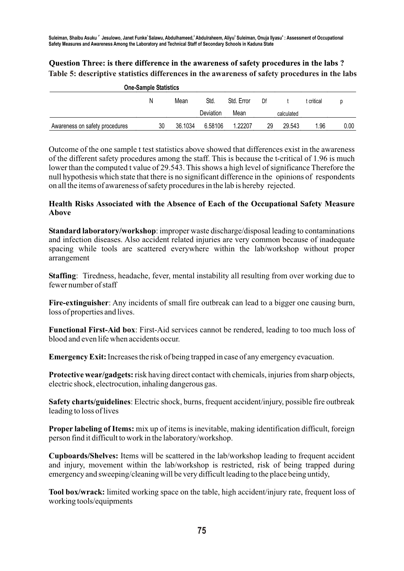# Question Three: is there difference in the awareness of safety procedures in the labs? **Table 5: descriptive statistics differences in the awareness of safety procedures in the labs**

| <b>One-Sample Statistics</b>   |    |         |           |            |    |            |            |      |
|--------------------------------|----|---------|-----------|------------|----|------------|------------|------|
|                                | N  | Mean    |           | Std. Error | Df |            | t critical |      |
|                                |    |         | Deviation | Mean       |    | calculated |            |      |
| Awareness on safety procedures | 30 | 36.1034 | 6.58106   | 1.22207    | 29 | 29.543     | 1.96       | 0.00 |

Outcome of the one sample t test statistics above showed that differences exist in the awareness of the different safety procedures among the staff. This is because the t-critical of 1.96 is much lower than the computed t value of 29.543. This shows a high level of significance Therefore the null hypothesis which state that there is no significant difference in the opinions of respondents on all the items of awareness of safety procedures in the lab is hereby rejected.

# **Health Risks Associated with the Absence of Each of the Occupational Safety Measure Above**

**Standard laboratory/workshop**: improper waste discharge/disposal leading to contaminations and infection diseases. Also accident related injuries are very common because of inadequate spacing while tools are scattered everywhere within the lab/workshop without proper arrangement

**Staffing**: Tiredness, headache, fever, mental instability all resulting from over working due to fewer number of staff

**Fire-extinguisher**: Any incidents of small fire outbreak can lead to a bigger one causing burn, loss of properties and lives.

**Functional First-Aid box**: First-Aid services cannot be rendered, leading to too much loss of blood and even life when accidents occur.

**Emergency Exit:** Increases the risk of being trapped in case of any emergency evacuation.

**Protective wear/gadgets:** risk having direct contact with chemicals, injuries from sharp objects, electric shock, electrocution, inhaling dangerous gas.

**Safety charts/guidelines**: Electric shock, burns, frequent accident/injury, possible fire outbreak leading to loss of lives

**Proper labeling of Items:** mix up of items is inevitable, making identification difficult, foreign person find it difficult to work in the laboratory/workshop.

**Cupboards/Shelves:** Items will be scattered in the lab/workshop leading to frequent accident and injury, movement within the lab/workshop is restricted, risk of being trapped during emergency and sweeping/cleaning will be very difficult leading to the place being untidy,

**Tool box/wrack:** limited working space on the table, high accident/injury rate, frequent loss of working tools/equipments